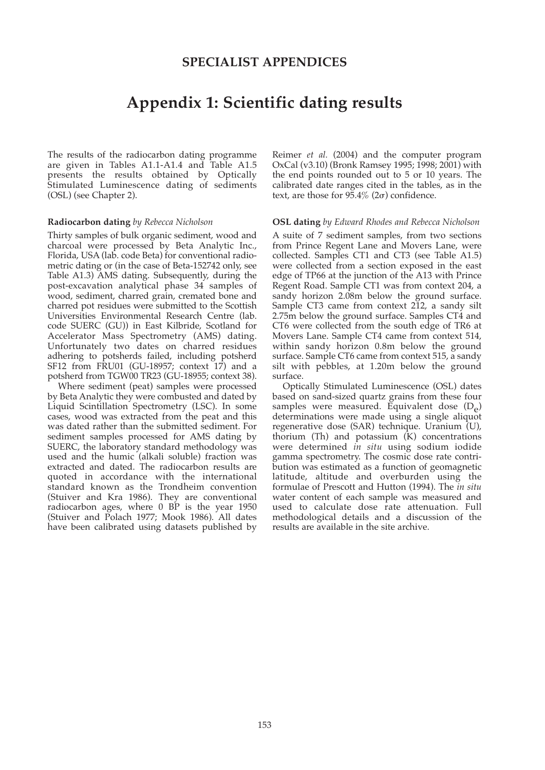### **SPECIALIST APPENDICES**

## **Appendix 1: Scientific dating results**

The results of the radiocarbon dating programme are given in Tables A1.1-A1.4 and Table A1.5 presents the results obtained by Optically Stimulated Luminescence dating of sediments (OSL) (see Chapter 2).

#### **Radiocarbon dating** *by Rebecca Nicholson*

Thirty samples of bulk organic sediment, wood and charcoal were processed by Beta Analytic Inc., Florida, USA (lab. code Beta) for conventional radiometric dating or (in the case of Beta-152742 only, see Table A1.3) AMS dating. Subsequently, during the post-excavation analytical phase 34 samples of wood, sediment, charred grain, cremated bone and charred pot residues were submitted to the Scottish Universities Environmental Research Centre (lab. code SUERC (GU)) in East Kilbride, Scotland for Accelerator Mass Spectrometry (AMS) dating. Unfortunately two dates on charred residues adhering to potsherds failed, including potsherd SF12 from FRU01 (GU-18957; context 17) and a potsherd from TGW00 TR23 (GU-18955; context 38).

Where sediment (peat) samples were processed by Beta Analytic they were combusted and dated by Liquid Scintillation Spectrometry (LSC). In some cases, wood was extracted from the peat and this was dated rather than the submitted sediment. For sediment samples processed for AMS dating by SUERC, the laboratory standard methodology was used and the humic (alkali soluble) fraction was extracted and dated. The radiocarbon results are quoted in accordance with the international standard known as the Trondheim convention (Stuiver and Kra 1986). They are conventional radiocarbon ages, where 0 BP is the year 1950 (Stuiver and Polach 1977; Mook 1986). All dates have been calibrated using datasets published by

Reimer *et al.* (2004) and the computer program OxCal (v3.10) (Bronk Ramsey 1995; 1998; 2001) with the end points rounded out to 5 or 10 years. The calibrated date ranges cited in the tables, as in the text, are those for  $95.4\%$  ( $2\sigma$ ) confidence.

#### **OSL dating** *by Edward Rhodes and Rebecca Nicholson*

A suite of 7 sediment samples, from two sections from Prince Regent Lane and Movers Lane, were collected. Samples CT1 and CT3 (see Table A1.5) were collected from a section exposed in the east edge of TP66 at the junction of the A13 with Prince Regent Road. Sample CT1 was from context 204, a sandy horizon 2.08m below the ground surface. Sample CT3 came from context 212, a sandy silt 2.75m below the ground surface. Samples CT4 and CT6 were collected from the south edge of TR6 at Movers Lane. Sample CT4 came from context 514, within sandy horizon 0.8m below the ground surface. Sample CT6 came from context 515, a sandy silt with pebbles, at 1.20m below the ground surface.

Optically Stimulated Luminescence (OSL) dates based on sand-sized quartz grains from these four samples were measured. Equivalent dose  $(D_{\rho})$ determinations were made using a single aliquot regenerative dose (SAR) technique. Uranium (U), thorium (Th) and potassium  $(K)$  concentrations were determined *in situ* using sodium iodide gamma spectrometry. The cosmic dose rate contribution was estimated as a function of geomagnetic latitude, altitude and overburden using the formulae of Prescott and Hutton (1994). The *in situ* water content of each sample was measured and used to calculate dose rate attenuation. Full methodological details and a discussion of the results are available in the site archive.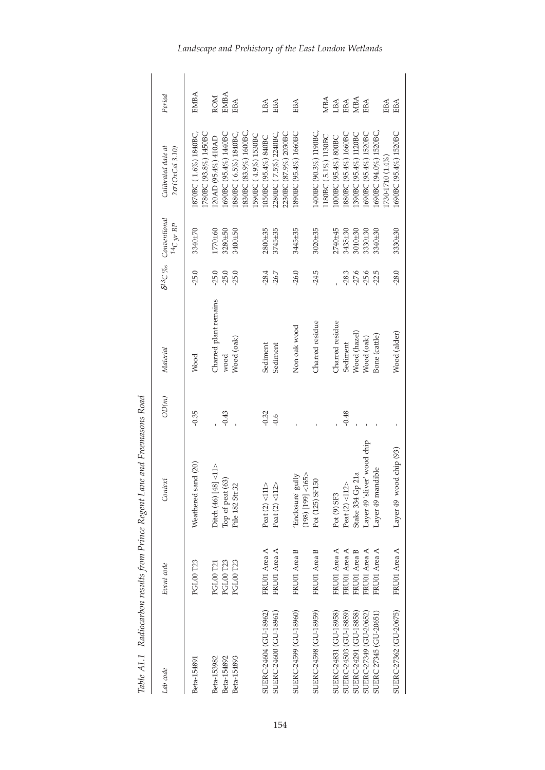| T1.7T1.7004T           | a control of the same of course, and the community | with a little control a count          |         |                       |         |                                                   |                                               |                             |
|------------------------|----------------------------------------------------|----------------------------------------|---------|-----------------------|---------|---------------------------------------------------|-----------------------------------------------|-----------------------------|
| Lab code               | Event code                                         | Context                                | OD(m)   | Material              |         | $\delta^{13}C$ % Conventional<br>$^{14}C$ yr $BP$ | Calibrated date at<br>$2\sigma$ (OxCal 3.10)  | Period                      |
| Beta-154891            | PGL00 T23                                          | Weathered sand (20)                    | $-0.35$ | Wood                  | $-25.0$ | 3340±70                                           | I780BC (93.8%) 1450BC<br>1870BC (1.6%) 1840BC | EMBA                        |
| Beta-153982            | PGL00 T21                                          | $\leq$ 11><br>Ditch (46) [48]          |         | Charred plant remains | $-25.0$ | 1770±60                                           | 120AD (95.4%) 410AD                           | ROM                         |
| Beta-154892            | PGL00 T23                                          | Top of peat (63)                       | $-0.43$ | wood                  | $-25.0$ | 3280±50                                           | 1690BC (95.4%) 1440BC                         | <b>EMBA</b>                 |
| Beta-154893            | <b>PGL00 T23</b>                                   | Pile 182 Str.32                        |         | Wood (oak)            | $-25.0$ | 3400±50                                           | 1880BC (6.5%) 1840BC                          | EBA                         |
|                        |                                                    |                                        |         |                       |         |                                                   | 1830BC (83.9%) 1600BC<br>1590BC (4.9%) 1530BC |                             |
| SUERC-24604 (GU-18962) | FRU01 Area A                                       | Peat $(2)$ <111>                       | $-0.32$ | Sediment              | $-28.4$ | 2800±35                                           | 1050BC (95.4%) 840BC                          | LBA                         |
| SUERC-24600 (GU-18961) | FRU01 Area A                                       | Peat $(2)$ <112>                       | $-0.6$  | Sediment              | $-26.7$ | 3745±35                                           | 2280BC (7.5%) 2240BC                          | EBA                         |
|                        |                                                    |                                        |         |                       |         |                                                   | 2230BC (87.9%) 2030BC                         |                             |
| SUERC-24599 (GU-18960) | FRU01 Area B                                       | 'Enclosure' gully<br>(198) [199] <165> |         | Non oak wood          | $-26.0$ | 3445±35                                           | 1890BC (95.4%) 1660BC                         | EBA                         |
| SUERC-24598 (GU-18959) | FRU01 Area B                                       | Pot (125) SF150                        |         | Charred residue       | $-24.5$ | $3020 + 35$                                       | 1400BC (90.3%) 1190BC.                        |                             |
|                        |                                                    |                                        |         |                       |         |                                                   | 1180BC(5.1%)1130BC                            | MBA                         |
| SUERC-24831 (GU-18958) | FRU01 Area A                                       | Pot (9) SF3                            |         | Charred residue       |         | 2740±45                                           | 1000BC (95.4%) 800BC                          | LBA                         |
| SUERC-24503 (GU-18859) | FRU01 Area A                                       | Peat $(2)$ <112>                       | $-0.48$ | Sediment              | $-28.3$ | 3435±30                                           | 1880BC (95.4%) 1660BC                         | EBA                         |
| SUERC-24291 (GU-18858) | FRU01 Area B                                       | Stake 334 Gp 21a                       |         | Wood (hazel)          | $-27.6$ | 3010±30                                           | 1390BC (95.4%) 1120BC                         | $\ensuremath{\mathsf{MBA}}$ |
| SUERC-27349 (GU-20652) | FRU01 Area A                                       | Layer 49 'sliver' wood chip            |         | Wood (oak)            | $-25.6$ | 3330±30                                           | 1690BC (95.4%) 1520BC                         | EBA                         |
| SUERC 27345 (GU-20651) | FRU01 Area A                                       | Layer 49 mandible                      |         | Bone (cattle)         | $-22.5$ | 3340±30                                           | 1690BC (94.0%) 1520BC,                        |                             |
|                        |                                                    |                                        |         |                       |         |                                                   | 1730-1710 (1.4%)                              | EBA                         |
| SUERC-27362 (GU-20675) | FRU01 Area A                                       | Layer 49 wood chip (93)                |         | Wood (alder)          | $-28.0$ | 3330±30                                           | 1690BC (95.4%) 1520BC                         | EBA                         |

*Table A1.1 Radiocarbon results from Prince Regent Lane an d Freemasons Road*

*Landscape and Prehistory of the East London Wetlands*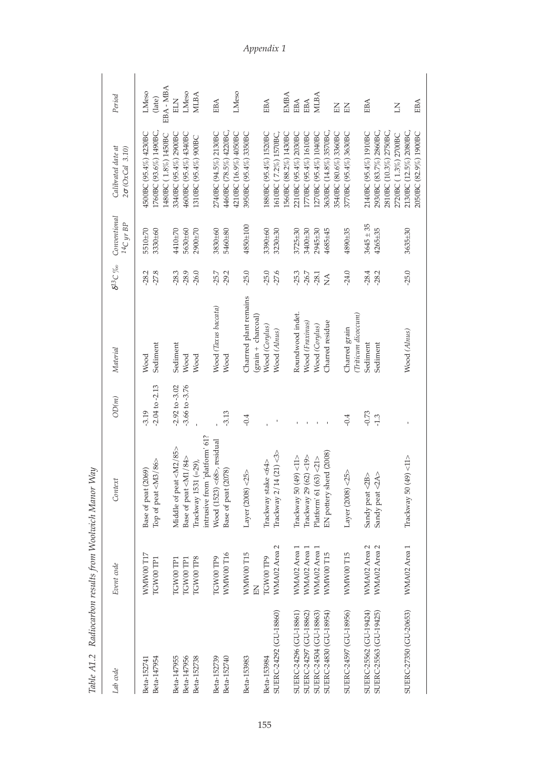| イラファフィ イイ・イー           | $\frac{1}{2}$     |                                |                    |                        |                  |                                  |                                                 |             |
|------------------------|-------------------|--------------------------------|--------------------|------------------------|------------------|----------------------------------|-------------------------------------------------|-------------|
| Lab code               | Event code        | Context                        | OD(m)              | Material               | $\delta^{13}C$ ‰ | Conventional<br>$^{14}C$ yr $BP$ | Calibrated date at<br>$2\sigma$ (OxCal 3.10)    | Period      |
| Beta-152741            | <b>WMWW0</b> T17  | Base of peat (2069)            | $-3.19$            | Wood                   | $-28.2$          | 5510±70                          | 4500BC (95.4%) 4230BC                           | LMeso       |
| Beta-147954            | TGW00 TP1         | Top of peat <m3 86=""></m3>    | $-2.04$ to $-2.13$ | Sediment               | $-27.8$          | 3330±60                          | 1760BC (93.6%) 1490BC,                          | (late)      |
|                        |                   |                                |                    |                        |                  |                                  | 1480BC (1.8%) 1450BC                            | EBA-MBA     |
| Beta-147955            | TGW00 TP1         | Middle of peat <m2 85=""></m2> | $-2.92$ to $-3.02$ | Sediment               | $-28.3$          | 410±70                           | 3340BC (95.4%) 2900BC                           | ELN         |
| Beta-147956            | TGW00 TP1         | Base of peat <m1 84=""></m1>   | $-3.66$ to $-3.76$ | Wood                   | $-28.9$          | 5630±60                          | 4600BC (95.4%) 4340BC                           | LMeso       |
| Beta-152738            | TGW00 TP8         | Trackway 1531 (=29),           |                    | Wood                   | $-26.0$          | 2900±70                          | 1310BC (95.4%) 900BC                            | MLBA        |
|                        |                   | intrusive from 'platform' 61?  |                    |                        |                  |                                  |                                                 |             |
| Beta-152739            | TGW00 TP9         | Wood (1523) <68>, residual     |                    | Wood (Taxus baccata)   | $-25.7$          | 3830±60                          | 2740BC (94.5%) 2130BC                           | EBA         |
| Beta-152740            | WMW00T16          | Base of peat (2078)            | $-3.13$            | Wood                   | $-29.2$          | 5460±80                          | 4460BC (78.5%) 4220BC,                          |             |
|                        |                   |                                |                    |                        |                  |                                  | 4210BC (16.9%) 4050BC                           | LMeso       |
| Beta-153983            | <b>WMWW00 T15</b> | Layer $(2008) < 25$            | $-0.4$             | Charrred plant remains | $-25.0$          | 4850±100                         | 3950BC (95.4%) 3350BC                           |             |
|                        | KH                |                                |                    | (grain + charcoal)     |                  |                                  |                                                 |             |
| Beta-153984            | TGW00 TP9         | Trackway stake <64>            |                    | Wood (Corylus)         | $-25.0$          | 3390±60                          | 1880BC (95.4%) 1520BC                           | EBA         |
| SUERC-24292 (GU-18860) | WMA02 Area 2      | Trackway $2/14$ (21) <3>       |                    | Wood (Alnus)           | $-27.6$          | 3230±30                          | 1610BC (7.2%) 1570BC,                           |             |
|                        |                   |                                |                    |                        |                  |                                  | 1560BC (88.2%) 1430BC                           | EMBA        |
| SUERC-24296 (GU-18861) | WMA02 Area 1      | $49$ <11><br>Trackway 50       |                    | Roundwood indet.       | $-25.3$          | 3725±30                          | 2210BC (95.4%) 2030BC                           | EBA         |
| SUERC-24297 (GU-18862) | WMA02 Area        | $62$ <19><br>Trackway 29       |                    | Wood (Fraxinus)        | $-26.7$          | 3400±30                          | 1770BC (95.4%) 1610BC                           | EBA         |
| SUERC-24504 (GU-18863) | WMA02 Area        | Platform' 61 (63) <21>         |                    | Wood (Corylus)         | $-28.1$          | 2945±30                          | 1270BC (95.4%) 1040BC                           | <b>MLBA</b> |
| SUERC-24830 (GU-18954) | <b>WMW00 T15</b>  | EN pottery sherd (2008)        |                    | Charred residue        | $\sum_{i=1}^{n}$ | 4685±45                          | 3630BC (14.8%) 3570BC,                          |             |
|                        |                   |                                |                    |                        |                  |                                  | 3540BC (80.6%) 3360BC                           | KE          |
| SUERC-24597 (GU-18956) | WMW00T15          | Layer $(2008) < 25$            | $-0.4$             | Charred grain          | $-24.0$          | 4890±35                          | 3770BC (95.4%) 3630BC                           | KH          |
|                        |                   |                                |                    | (Triticum dicoccum)    |                  |                                  |                                                 |             |
| SUERC-25562 (GU-19424) | WMA02 Area 2      | Sandy peat <2B>                | $-0.73$            | Sediment               | $-28.4$          | $3645 \pm 35$                    | 2140BC (95.4%) 1910BC                           | EBA         |
| SUERC-25563 (GU-19425) | WMA02 Area 2      | Sandy peat <2A>                | $-1.3$             | Sediment               | $-28.2$          | $4265 + 35$                      | 2930BC (83.7%) 2860BC,                          |             |
|                        |                   |                                |                    |                        |                  |                                  | 2810BC (10.3%) 2750BC                           |             |
|                        |                   |                                |                    |                        |                  |                                  | 2720BC (1.3%) 2700BC                            | KI          |
| SUERC-27350 (GU-20653) | WMA02 Area 1      | Trackway 50 $(49)$ <11>        |                    | Wood (Alnus)           | $-25.0$          | 3635±30                          | 2130BC (12.5%) 2080BC,<br>2050BC (82.9%) 1900BC | EBA         |
|                        |                   |                                |                    |                        |                  |                                  |                                                 |             |

### *A p p e n d i x 1*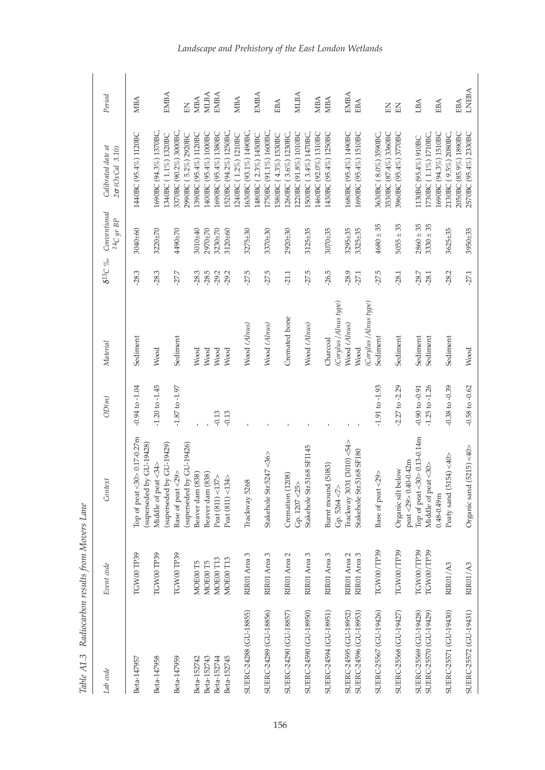| Lab code               | Event code                   | Context                                                 | OD(m)              | Material              | $\delta^{13}C$ % | Conventional<br>$^{14}C$ yr $BP$ | Calibrated date at<br>$2\sigma$ (OxCal 3.10)   | Period       |
|------------------------|------------------------------|---------------------------------------------------------|--------------------|-----------------------|------------------|----------------------------------|------------------------------------------------|--------------|
| Beta-147957            | TGW00 TP39                   | Top of peat <30> 0.17-0.27m<br>(superseded by GU-19428) | $-0.94$ to $-1.04$ | Sediment              | $-28.3$          | 3040±60                          | 1440BC (95.4%) 1120BC                          | <b>MBA</b>   |
| Beta-147958            | TGW00 TP39                   | Middle of peat <34>                                     | $-1.20$ to $-1.45$ | Wood                  | $-28.3$          | 3220±70                          | 1690BC (94.3%) 1370BC,                         |              |
| Beta-147959            | TGW00 TP39                   | (superseded by GU-19429)<br>Λ<br>Base of peat <29       | $-1.87$ to $-1.97$ | Sediment              | $-27.7$          | 4490±70                          | 3370BC (90.2%) 3000BC,<br>1340BC (1.1%) 1320BC | EMBA         |
|                        |                              | (superseded by GU-19426)                                |                    |                       |                  |                                  | 2990BC (5.2%) 2920BC                           | KE           |
| Beta-152742            | MOE00 T5                     | Beaver dam (838)                                        |                    | Wood                  | $-28.3$          | 3010±40                          | 1390BC (95.4%) 1120BC                          | <b>MBA</b>   |
| Beta-152743            | MOE00 T5                     | Beaver dam (838)                                        |                    | Wood                  | $-28.5$          | 2970±70                          | 1400BC (95.4%) 1000BC                          | MLBA         |
| Beta-152744            | MOE00 T13                    | Peat (811)<137>                                         | $-0.13$            | Wood                  | $-29.2$          | 3230±70                          | 1690BC (95.4%) 1380BC                          | EMBA         |
| Beta-152745            | MOE00T13                     | Peat (811) <134>                                        | $-0.13$            | Wood                  | $-29.2$          | 3120±60                          | I520BC (94.2%) 1250BC,                         |              |
|                        |                              |                                                         |                    |                       |                  |                                  | 1240BC (1.2%) 1210BC                           | <b>MBA</b>   |
| SUERC-24288 (GU-18855) | RIR01 Area 3                 | Trackway 5268                                           |                    | Wood (Alnus)          | $-27.5$          | 3275±30                          | 1630BC (93.1%) 1490BC,<br>1480BC (2.3%) 1450BC | EMBA         |
| SUERC-24289 (GU-18856) | RIR01 Area 3                 | 47 < 36<br>Stakehole Str.52                             |                    | Wood (Alnus)          | $-27.5$          | 3370±30                          | 1750BC (91.1%) 1600BC                          |              |
|                        |                              |                                                         |                    |                       |                  |                                  | 580BC (4.3%) 1530BC                            | EBA          |
| SUERC-24290 (GU-18857) | RIR01 Area 2                 | Cremation (1208)                                        |                    | Cremated bone         | $-21.1$          | 2920±30                          | 1260BC (3.6%) 1230BC,                          |              |
|                        |                              | Gp. 1207 <25>                                           |                    |                       |                  |                                  | 1220BC (91.8%) 1010BC                          | MLBA         |
| SUERC-24590 (GU-18950) | RIR01 Area 3                 | 68 SF1145<br>Stakehole Str.51                           |                    | Wood (Alnus)          | $-27.5$          | $3125 + 35$                      | I500BC (3.4%) 1470BC,                          |              |
|                        |                              |                                                         |                    |                       |                  |                                  | 1460BC (92.0%) 1310BC                          | <b>MBA</b>   |
| SUERC-24594 (GU-18951) | RIR01 Area 3                 | Burnt mound (5083)                                      |                    | Charcoal              | $-26.5$          | 3070±35                          | 1430BC (95.4%) 1250BC                          | <b>MBA</b>   |
|                        |                              | Gp.5264 < 7                                             |                    | (Corylus /Alnus type) |                  |                                  |                                                |              |
| SUERC-24595 (GU-18952) | RIR01 Area 2<br>RIR01 Area 3 | (3010) < 54<br>Trackway 3031                            |                    | Wood (Alnus)          | $-28.9$          | 3295±35                          | 1680BC (95.4%) 1490BC                          | <b>EMBA</b>  |
| SUERC-24596 (GU-18953) |                              | 68 SF180<br>Stakehole Str.51                            |                    | Wood                  | $-27.1$          | 3325±35                          | 1690BC (95.4%) 1510BC                          | EBA          |
|                        |                              |                                                         |                    | (Corylus /Alnus type) |                  |                                  |                                                |              |
| SUERC-25567 (GU-19426) | TGW00/TP39                   | Base of peat <29>                                       | $-1.91$ to $-1.93$ | Sediment              | $-27.5$          | $4680 \pm 35$                    | 3630BC (8.0%) 3590BC,                          |              |
|                        |                              |                                                         |                    |                       |                  |                                  | 3530BC (87.4%) 3360BC                          | KH           |
| SUERC-25568 (GU-19427) | TGW00/TP39                   | Organic silt below                                      | $-2.27$ to $-2.29$ | Sediment              | $-28.1$          | $5055 \pm 35$                    | 3960BC (95.4%) 3770BC                          | EN           |
|                        |                              | $\text{peak} < 29 > 0.40 - 0.42 \text{m}$               |                    |                       |                  |                                  |                                                |              |
| SUERC-25569 (GU-19428) | TGW00/TP39                   | Top of peat <30> 0.13-0.14m                             | $-0.90$ to $-0.91$ | Sediment              | $-28.7$          | $2860 \pm 35$                    | 1130BC (95.4%) 910BC                           | LBA          |
| SUERC-25570 (GU-19429) | TGW00/TP39                   | Middle of peat <30>                                     | $-1.25$ to $-1.26$ | Sediment              | $-28.1$          | $3330 + 35$                      | 1730BC (1.1%) 1710BC,                          |              |
|                        |                              | $0.48 - 0.49$ m                                         |                    |                       |                  |                                  | 1690BC (94.3%) 1510BC                          | EBA          |
| SUERC-25571 (GU-19430) | RIR01/A3                     | Peaty sand (5154) <40>                                  | $-0.38$ to $-0.39$ | Sediment              | $-28.2$          | 3625±35                          | 2130BC (9.5%) 2080BC                           |              |
| SUERC-25572 (GU-19431) | RIRO1/A3                     |                                                         | $-0.58$ to $-0.62$ |                       | $-27.1$          | 3950±35                          | 2050BC (85.9%) 1890BC<br>2570BC (95.4%) 2330BC | LNEBA<br>EBA |
|                        |                              | Organic sand $(5215) < 40$                              |                    | Wood                  |                  |                                  |                                                |              |

Table A1.3 Radiocarbon results from Movers Lane *Movers Lane Table A1.3 Radiocarbon results from*

# *Landscape and Prehistory of the East London Wetlands*